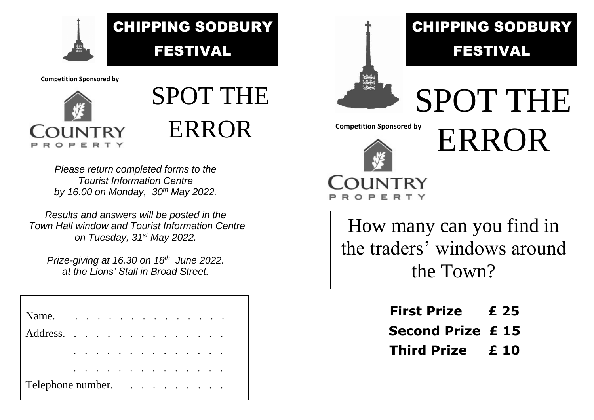

**Competition Sponsored by**



## SPOT THE ERROR

*Please return completed forms to the Tourist Information Centre by 16.00 on Monday, 30th May 2022.*

*Results and answers will be posted in the Town Hall window and Tourist Information Centre on Tuesday, 31st May 2022.*

*Prize-giving at 16.30 on 18th June 2022. at the Lions' Stall in Broad Street.*

| Name.             | $\ddot{\phantom{a}}$ | $\sim$ $\sim$ | $\sim$    | $\sim$ |                      | $\ddot{\phantom{a}}$ . |        |        |                          |        |           |           |           |                 |  |
|-------------------|----------------------|---------------|-----------|--------|----------------------|------------------------|--------|--------|--------------------------|--------|-----------|-----------|-----------|-----------------|--|
| Address.          |                      |               | $\ddotsc$ |        | $\ddot{\phantom{0}}$ | $\ddot{\phantom{0}}$   | $\sim$ | $\sim$ |                          |        | $\bullet$ | $\bullet$ | $\bullet$ | $\cdot$ $\cdot$ |  |
|                   |                      |               |           |        |                      |                        |        |        |                          |        |           |           |           |                 |  |
|                   |                      |               |           |        |                      |                        |        |        | $\overline{\phantom{a}}$ | $\sim$ |           | $\bullet$ |           |                 |  |
| Telephone number. |                      |               |           |        |                      |                        |        |        |                          |        |           |           |           |                 |  |



## CHIPPING SODBURY FESTIVAL



**NTRY** 

SPOT THE ERROR **Competition Sponsored by**

How many can you find in the traders' windows around the Town?

| <b>First Prize</b>      | £ 25 |
|-------------------------|------|
| <b>Second Prize £15</b> |      |
| <b>Third Prize</b>      | £ 10 |